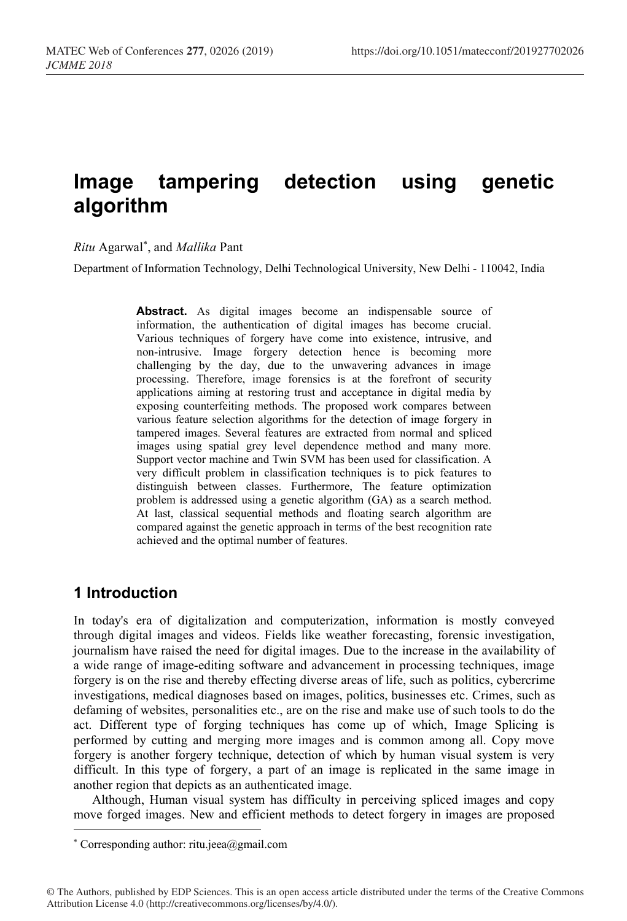# **Image tampering detection using genetic algorithm**

*Ritu* Agarwal \* , and *Mallika* Pant

Department of Information Technology, Delhi Technological University, New Delhi - 110042, India

**Abstract.** As digital images become an indispensable source of information, the authentication of digital images has become crucial. Various techniques of forgery have come into existence, intrusive, and non-intrusive. Image forgery detection hence is becoming more challenging by the day, due to the unwavering advances in image processing. Therefore, image forensics is at the forefront of security applications aiming at restoring trust and acceptance in digital media by exposing counterfeiting methods. The proposed work compares between various feature selection algorithms for the detection of image forgery in tampered images. Several features are extracted from normal and spliced images using spatial grey level dependence method and many more. Support vector machine and Twin SVM has been used for classification. A very difficult problem in classification techniques is to pick features to distinguish between classes. Furthermore, The feature optimization problem is addressed using a genetic algorithm (GA) as a search method. At last, classical sequential methods and floating search algorithm are compared against the genetic approach in terms of the best recognition rate achieved and the optimal number of features.

# **1 Introduction**

In today's era of digitalization and computerization, information is mostly conveyed through digital images and videos. Fields like weather forecasting, forensic investigation, journalism have raised the need for digital images. Due to the increase in the availability of a wide range of image-editing software and advancement in processing techniques, image forgery is on the rise and thereby effecting diverse areas of life, such as politics, cybercrime investigations, medical diagnoses based on images, politics, businesses etc. Crimes, such as defaming of websites, personalities etc., are on the rise and make use of such tools to do the act. Different type of forging techniques has come up of which, Image Splicing is performed by cutting and merging more images and is common among all. Copy move forgery is another forgery technique, detection of which by human visual system is very difficult. In this type of forgery, a part of an image is replicated in the same image in another region that depicts as an authenticated image.

Although, Human visual system has difficulty in perceiving spliced images and copy move forged images. New and efficient methods to detect forgery in images are proposed

<sup>\*</sup> Corresponding author: ritu.jeea@gmail.com

<sup>©</sup> The Authors, published by EDP Sciences. This is an open access article distributed under the terms of the Creative Commons Attribution License 4.0 (http://creativecommons.org/licenses/by/4.0/).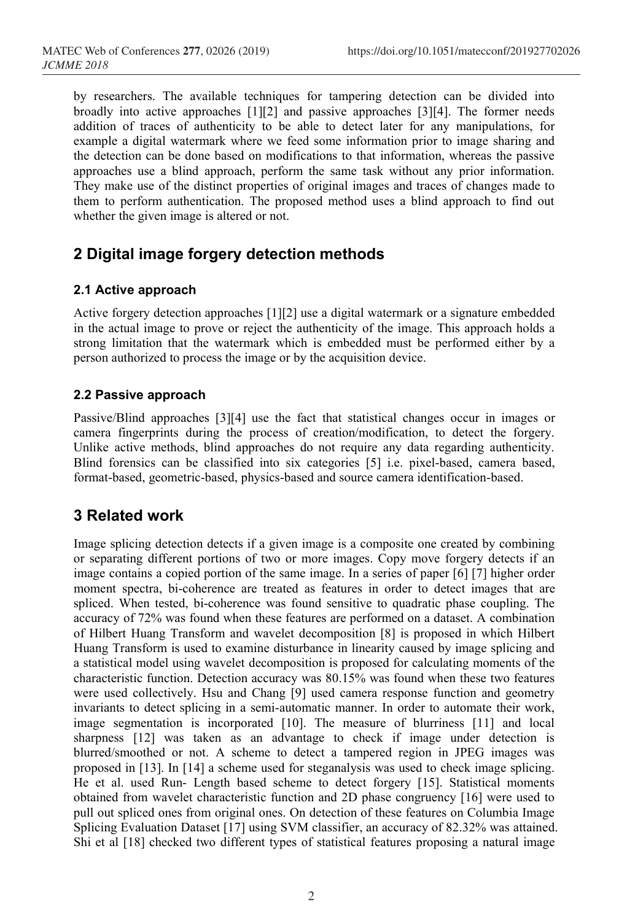by researchers. The available techniques for tampering detection can be divided into broadly into active approaches [1][2] and passive approaches [3][4]. The former needs addition of traces of authenticity to be able to detect later for any manipulations, for example a digital watermark where we feed some information prior to image sharing and the detection can be done based on modifications to that information, whereas the passive approaches use a blind approach, perform the same task without any prior information. They make use of the distinct properties of original images and traces of changes made to them to perform authentication. The proposed method uses a blind approach to find out whether the given image is altered or not.

# **2 Digital image forgery detection methods**

### **2.1 Active approach**

Active forgery detection approaches [1][2] use a digital watermark or a signature embedded in the actual image to prove or reject the authenticity of the image. This approach holds a strong limitation that the watermark which is embedded must be performed either by a person authorized to process the image or by the acquisition device.

### **2.2 Passive approach**

Passive/Blind approaches [3][4] use the fact that statistical changes occur in images or camera fingerprints during the process of creation/modification, to detect the forgery. Unlike active methods, blind approaches do not require any data regarding authenticity. Blind forensics can be classified into six categories [5] i.e. pixel-based, camera based, format-based, geometric-based, physics-based and source camera identification-based.

# **3 Related work**

Image splicing detection detects if a given image is a composite one created by combining or separating different portions of two or more images. Copy move forgery detects if an image contains a copied portion of the same image. In a series of paper [6] [7] higher order moment spectra, bi-coherence are treated as features in order to detect images that are spliced. When tested, bi-coherence was found sensitive to quadratic phase coupling. The accuracy of 72% was found when these features are performed on a dataset. A combination of Hilbert Huang Transform and wavelet decomposition [8] is proposed in which Hilbert Huang Transform is used to examine disturbance in linearity caused by image splicing and a statistical model using wavelet decomposition is proposed for calculating moments of the characteristic function. Detection accuracy was 80.15% was found when these two features were used collectively. Hsu and Chang [9] used camera response function and geometry invariants to detect splicing in a semi-automatic manner. In order to automate their work, image segmentation is incorporated [10]. The measure of blurriness [11] and local sharpness [12] was taken as an advantage to check if image under detection is blurred/smoothed or not. A scheme to detect a tampered region in JPEG images was proposed in [13]. In [14] a scheme used for steganalysis was used to check image splicing. He et al. used Run- Length based scheme to detect forgery [15]. Statistical moments obtained from wavelet characteristic function and 2D phase congruency [16] were used to pull out spliced ones from original ones. On detection of these features on Columbia Image Splicing Evaluation Dataset [17] using SVM classifier, an accuracy of 82.32% was attained. Shi et al [18] checked two different types of statistical features proposing a natural image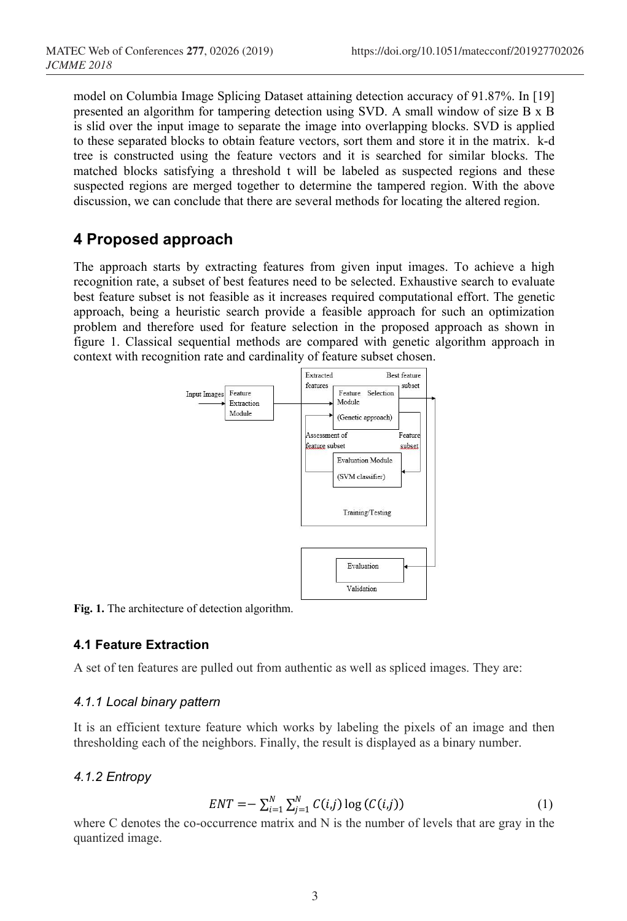model on Columbia Image Splicing Dataset attaining detection accuracy of 91.87%. In [19] presented an algorithm for tampering detection using SVD. A small window of size B x B is slid over the input image to separate the image into overlapping blocks. SVD is applied to these separated blocks to obtain feature vectors, sort them and store it in the matrix. k-d tree is constructed using the feature vectors and it is searched for similar blocks. The matched blocks satisfying a threshold t will be labeled as suspected regions and these suspected regions are merged together to determine the tampered region. With the above discussion, we can conclude that there are several methods for locating the altered region.

# **4 Proposed approach**

The approach starts by extracting features from given input images. To achieve a high recognition rate, a subset of best features need to be selected. Exhaustive search to evaluate best feature subset is not feasible as it increases required computational effort. The genetic approach, being a heuristic search provide a feasible approach for such an optimization problem and therefore used for feature selection in the proposed approach as shown in figure 1. Classical sequential methods are compared with genetic algorithm approach in context with recognition rate and cardinality of feature subset chosen.



**Fig. 1.** The architecture of detection algorithm.

## **4.1 Feature Extraction**

A set of ten features are pulled out from authentic as well as spliced images. They are:

## *4.1.1 Local binary pattern*

It is an efficient texture feature which works by labeling the pixels of an image and then thresholding each of the neighbors. Finally, the result is displayed as a binary number.

## *4.1.2 Entropy*

$$
ENT = -\sum_{i=1}^{N} \sum_{j=1}^{N} C(i,j) \log (C(i,j))
$$
 (1)

where C denotes the co-occurrence matrix and N is the number of levels that are gray in the quantized image.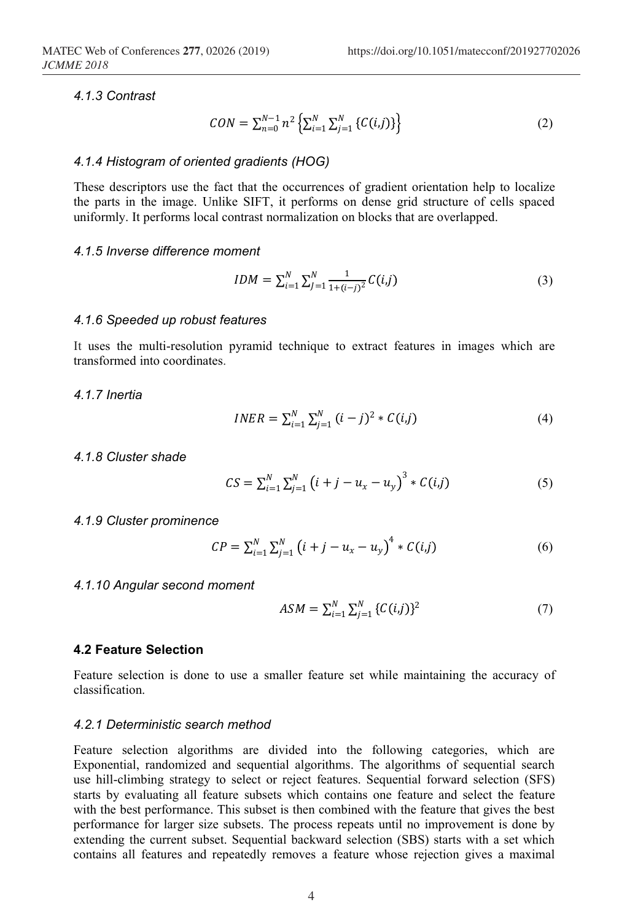#### *4.1.3 Contrast*

$$
CON = \sum_{n=0}^{N-1} n^2 \left\{ \sum_{i=1}^{N} \sum_{j=1}^{N} \left\{ C(i,j) \right\} \right\}
$$
 (2)

#### *4.1.4 Histogram of oriented gradients (HOG)*

These descriptors use the fact that the occurrences of gradient orientation help to localize the parts in the image. Unlike SIFT, it performs on dense grid structure of cells spaced uniformly. It performs local contrast normalization on blocks that are overlapped.

#### *4.1.5 Inverse difference moment*

$$
IDM = \sum_{i=1}^{N} \sum_{j=1}^{N} \frac{1}{1 + (i-j)^2} C(i,j)
$$
\n(3)

#### *4.1.6 Speeded up robust features*

It uses the multi-resolution pyramid technique to extract features in images which are transformed into coordinates.

#### *4.1.7 Inertia*

$$
INER = \sum_{i=1}^{N} \sum_{j=1}^{N} (i-j)^2 * C(i,j)
$$
 (4)

### *4.1.8 Cluster shade*

$$
CS = \sum_{i=1}^{N} \sum_{j=1}^{N} (i + j - u_x - u_y)^3 * C(i,j)
$$
 (5)

#### *4.1.9 Cluster prominence*

$$
CP = \sum_{i=1}^{N} \sum_{j=1}^{N} (i + j - u_x - u_y)^4 * C(i,j)
$$
 (6)

#### *4.1.10 Angular second moment*

$$
ASM = \sum_{i=1}^{N} \sum_{j=1}^{N} \{ C(i,j) \}^{2}
$$
 (7)

#### **4.2 Feature Selection**

Feature selection is done to use a smaller feature set while maintaining the accuracy of classification.

#### *4.2.1 Deterministic search method*

Feature selection algorithms are divided into the following categories, which are Exponential, randomized and sequential algorithms. The algorithms of sequential search use hill-climbing strategy to select or reject features. Sequential forward selection (SFS) starts by evaluating all feature subsets which contains one feature and select the feature with the best performance. This subset is then combined with the feature that gives the best performance for larger size subsets. The process repeats until no improvement is done by extending the current subset. Sequential backward selection (SBS) starts with a set which contains all features and repeatedly removes a feature whose rejection gives a maximal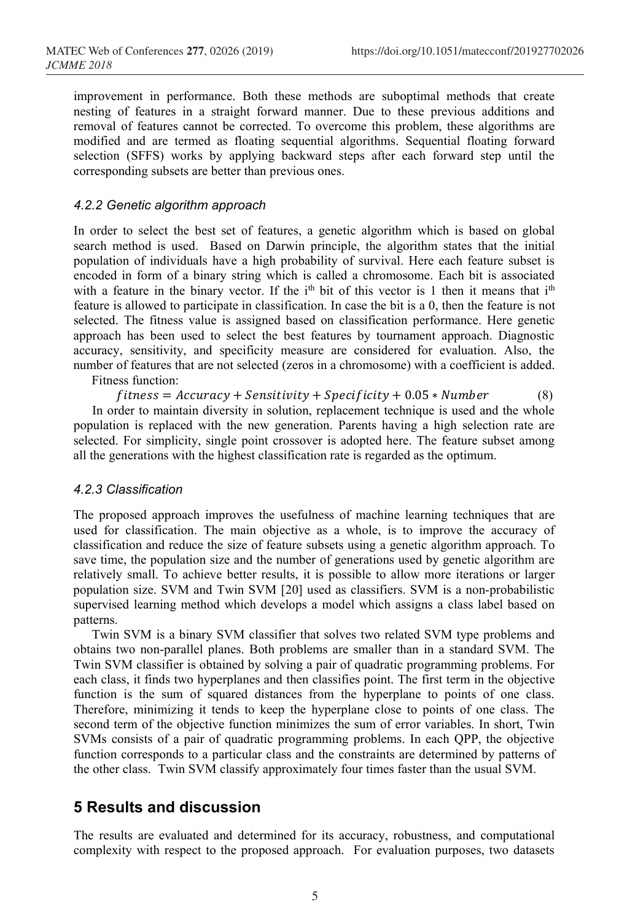improvement in performance. Both these methods are suboptimal methods that create nesting of features in a straight forward manner. Due to these previous additions and removal of features cannot be corrected. To overcome this problem, these algorithms are modified and are termed as floating sequential algorithms. Sequential floating forward selection (SFFS) works by applying backward steps after each forward step until the corresponding subsets are better than previous ones.

#### *4.2.2 Genetic algorithm approach*

In order to select the best set of features, a genetic algorithm which is based on global search method is used. Based on Darwin principle, the algorithm states that the initial population of individuals have a high probability of survival. Here each feature subset is encoded in form of a binary string which is called a chromosome. Each bit is associated with a feature in the binary vector. If the  $i<sup>th</sup>$  bit of this vector is 1 then it means that  $i<sup>th</sup>$ feature is allowed to participate in classification. In case the bit is a 0, then the feature is not selected. The fitness value is assigned based on classification performance. Here genetic approach has been used to select the best features by tournament approach. Diagnostic accuracy, sensitivity, and specificity measure are considered for evaluation. Also, the number of features that are not selected (zeros in a chromosome) with a coefficient is added. Fitness function:

 $fitness = Accuracy + Sensitivity + Specificity + 0.05 * Number$  (8)

In order to maintain diversity in solution, replacement technique is used and the whole population is replaced with the new generation. Parents having a high selection rate are selected. For simplicity, single point crossover is adopted here. The feature subset among all the generations with the highest classification rate is regarded as the optimum.

#### *4.2.3 Classification*

The proposed approach improves the usefulness of machine learning techniques that are used for classification. The main objective as a whole, is to improve the accuracy of classification and reduce the size of feature subsets using a genetic algorithm approach. To save time, the population size and the number of generations used by genetic algorithm are relatively small. To achieve better results, it is possible to allow more iterations or larger population size. SVM and Twin SVM [20] used as classifiers. SVM is a non-probabilistic supervised learning method which develops a model which assigns a class label based on patterns.

Twin SVM is a binary SVM classifier that solves two related SVM type problems and obtains two non-parallel planes. Both problems are smaller than in a standard SVM. The Twin SVM classifier is obtained by solving a pair of quadratic programming problems. For each class, it finds two hyperplanes and then classifies point. The first term in the objective function is the sum of squared distances from the hyperplane to points of one class. Therefore, minimizing it tends to keep the hyperplane close to points of one class. The second term of the objective function minimizes the sum of error variables. In short, Twin SVMs consists of a pair of quadratic programming problems. In each QPP, the objective function corresponds to a particular class and the constraints are determined by patterns of the other class. Twin SVM classify approximately four times faster than the usual SVM.

# **5 Results and discussion**

The results are evaluated and determined for its accuracy, robustness, and computational complexity with respect to the proposed approach. For evaluation purposes, two datasets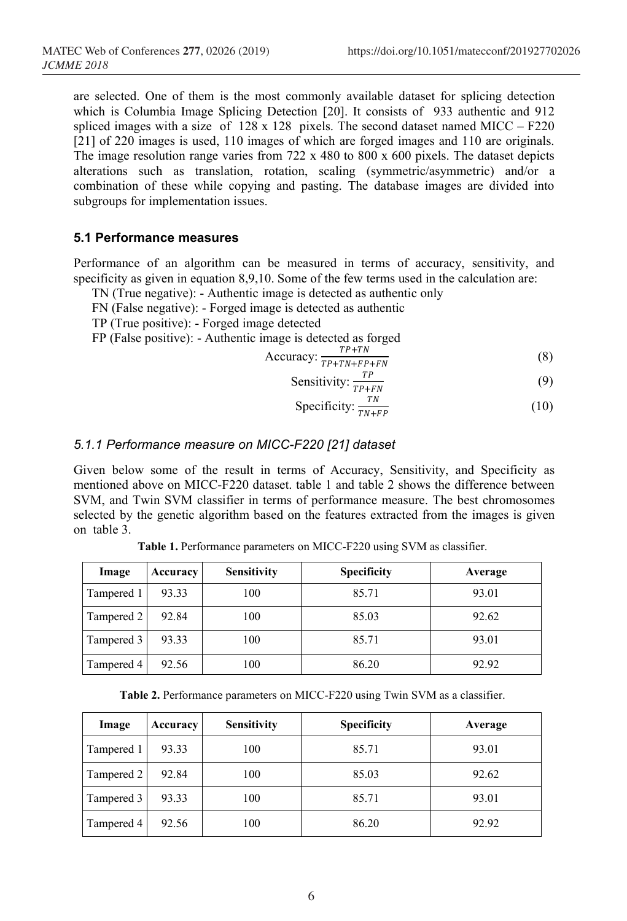are selected. One of them is the most commonly available dataset for splicing detection which is Columbia Image Splicing Detection [20]. It consists of 933 authentic and 912 spliced images with a size of  $128 \times 128$  pixels. The second dataset named MICC – F220 [21] of 220 images is used, 110 images of which are forged images and 110 are originals. The image resolution range varies from 722 x 480 to 800 x 600 pixels. The dataset depicts alterations such as translation, rotation, scaling (symmetric/asymmetric) and/or a combination of these while copying and pasting. The database images are divided into subgroups for implementation issues.

### **5.1 Performance measures**

Performance of an algorithm can be measured in terms of accuracy, sensitivity, and specificity as given in equation 8,9,10. Some of the few terms used in the calculation are:

- TN (True negative): Authentic image is detected as authentic only
- FN (False negative): Forged image is detected as authentic
- TP (True positive): Forged image detected
- FP (False positive): Authentic image is detected as forged

$$
Accuracy: \frac{TP+TN}{TP+TN+FP+FN} \tag{8}
$$

Sensitivity: 
$$
\frac{TP}{TP+FN}
$$
 (9)

$$
Specificity: \frac{TN}{TN+FP} \tag{10}
$$

### *5.1.1 Performance measure on MICC-F220 [21] dataset*

Given below some of the result in terms of Accuracy, Sensitivity, and Specificity as mentioned above on MICC-F220 dataset. table 1 and table 2 shows the difference between SVM, and Twin SVM classifier in terms of performance measure. The best chromosomes selected by the genetic algorithm based on the features extracted from the images is given on table 3.

| Image      | Accuracy | <b>Sensitivity</b> | <b>Specificity</b> | Average |
|------------|----------|--------------------|--------------------|---------|
| Tampered 1 | 93.33    | 100                | 85.71              | 93.01   |
| Tampered 2 | 92.84    | 100                | 85.03              | 92.62   |
| Tampered 3 | 93.33    | 100                | 85.71              | 93.01   |
| Tampered 4 | 92.56    | 100                | 86.20              | 92.92   |

**Table 1.** Performance parameters on MICC-F220 using SVM as classifier.

**Table 2.** Performance parameters on MICC-F220 using Twin SVM as a classifier.

| Image      | Accuracy | <b>Sensitivity</b> | <b>Specificity</b> | Average |
|------------|----------|--------------------|--------------------|---------|
| Tampered 1 | 93.33    | 100                | 85.71              | 93.01   |
| Tampered 2 | 92.84    | 100                | 85.03              | 92.62   |
| Tampered 3 | 93.33    | 100                | 85.71              | 93.01   |
| Tampered 4 | 92.56    | 100                | 86.20              | 92.92   |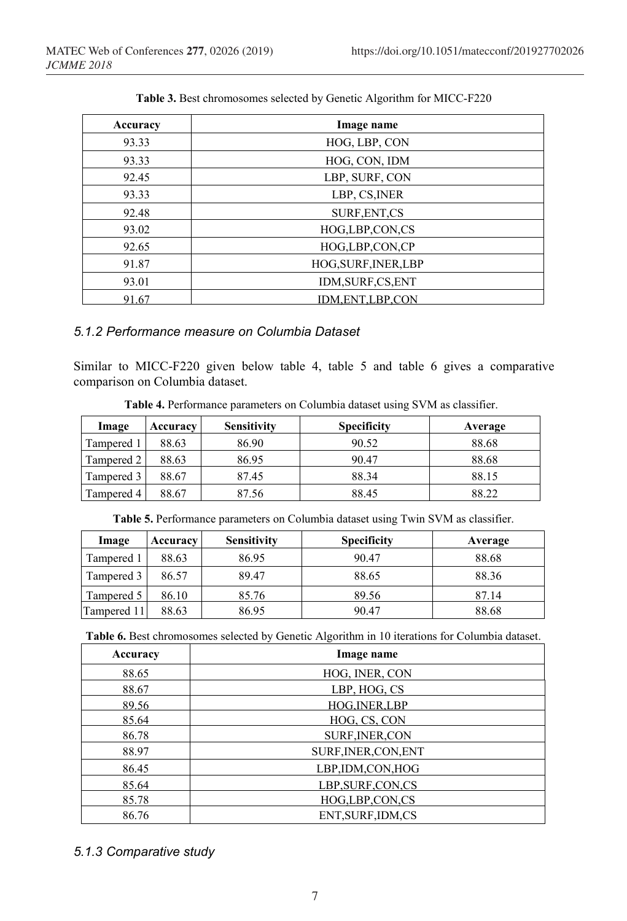| Accuracy | Image name           |  |
|----------|----------------------|--|
| 93.33    | HOG, LBP, CON        |  |
| 93.33    | HOG, CON, IDM        |  |
| 92.45    | LBP, SURF, CON       |  |
| 93.33    | LBP, CS, INER        |  |
| 92.48    | SURF, ENT, CS        |  |
| 93.02    | HOG,LBP,CON,CS       |  |
| 92.65    | HOG,LBP,CON,CP       |  |
| 91.87    | HOG, SURF, INER, LBP |  |
| 93.01    | IDM, SURF, CS, ENT   |  |
| 91.67    | IDM.ENT,LBP,CON      |  |

**Table 3.** Best chromosomes selected by Genetic Algorithm for MICC-F220

# *5.1.2 Performance measure on Columbia Dataset*

Similar to MICC-F220 given below table 4, table 5 and table 6 gives a comparative comparison on Columbia dataset.

**Table 4.** Performance parameters on Columbia dataset using SVM as classifier.

| Image      | Accuracy | <b>Sensitivity</b> | <b>Specificity</b> | Average |
|------------|----------|--------------------|--------------------|---------|
| Tampered 1 | 88.63    | 86.90              | 90.52              | 88.68   |
| Tampered 2 | 88.63    | 86.95              | 90.47              | 88.68   |
| Tampered 3 | 88.67    | 87.45              | 88.34              | 88.15   |
| Tampered 4 | 88.67    | 87.56              | 88.45              | 88.22   |

**Table 5.** Performance parameters on Columbia dataset using Twin SVM as classifier.

| Image       | Accuracy | <b>Sensitivity</b> | <b>Specificity</b> | Average |
|-------------|----------|--------------------|--------------------|---------|
| Tampered 1  | 88.63    | 86.95              | 90.47              | 88.68   |
| Tampered 3  | 86.57    | 89.47              | 88.65              | 88.36   |
| Tampered 5  | 86.10    | 85.76              | 89.56              | 87.14   |
| Tampered 11 | 88.63    | 86.95              | 90.47              | 88.68   |

**Table 6.** Best chromosomes selected by Genetic Algorithm in 10 iterations for Columbia dataset.

| Accuracy | Image name             |  |
|----------|------------------------|--|
| 88.65    | HOG, INER, CON         |  |
| 88.67    | LBP, HOG, CS           |  |
| 89.56    | <b>HOG.INER.LBP</b>    |  |
| 85.64    | HOG, CS, CON           |  |
| 86.78    | <b>SURF, INER, CON</b> |  |
| 88.97    | SURF, INER, CON, ENT   |  |
| 86.45    | LBP, IDM, CON, HOG     |  |
| 85.64    | LBP, SURF, CON, CS     |  |
| 85.78    | HOG,LBP,CON,CS         |  |
| 86.76    | ENT, SURF, IDM, CS     |  |

### *5.1.3 Comparative study*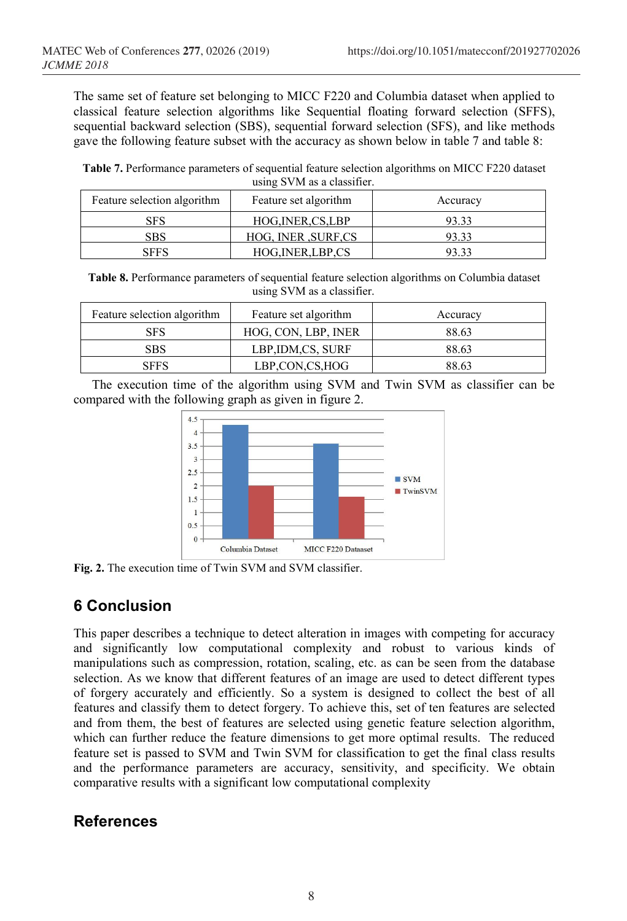The same set of feature set belonging to MICC F220 and Columbia dataset when applied to classical feature selection algorithms like Sequential floating forward selection (SFFS), sequential backward selection (SBS), sequential forward selection (SFS), and like methods gave the following feature subset with the accuracy as shown below in table 7 and table 8:

**Table 7.** Performance parameters of sequential feature selection algorithms on MICC F220 dataset using SVM as a classifier.

| Feature selection algorithm | Feature set algorithm | Accuracy |
|-----------------------------|-----------------------|----------|
| <b>SFS</b>                  | HOG, INER, CS, LBP    | 93.33    |
| SBS                         | HOG, INER , SURF, CS  | 93.33    |
| <b>SFFS</b>                 | HOG, INER, LBP, CS    | 93.33    |

**Table 8.** Performance parameters of sequential feature selection algorithms on Columbia dataset using SVM as a classifier.

| Feature selection algorithm | Feature set algorithm | Accuracy |
|-----------------------------|-----------------------|----------|
| <b>SFS</b>                  | HOG, CON, LBP, INER   | 88.63    |
| <b>SBS</b>                  | LBP, IDM, CS, SURF    | 88.63    |
| <b>SFFS</b>                 | LBP,CON,CS,HOG        | 88.63    |

The execution time of the algorithm using SVM and Twin SVM as classifier can be compared with the following graph as given in figure 2.



**Fig. 2.** The execution time of Twin SVM and SVM classifier.

# **6 Conclusion**

This paper describes a technique to detect alteration in images with competing for accuracy and significantly low computational complexity and robust to various kinds of manipulations such as compression, rotation, scaling, etc. as can be seen from the database selection. As we know that different features of an image are used to detect different types of forgery accurately and efficiently. So a system is designed to collect the best of all features and classify them to detect forgery. To achieve this, set of ten features are selected and from them, the best of features are selected using genetic feature selection algorithm, which can further reduce the feature dimensions to get more optimal results. The reduced feature set is passed to SVM and Twin SVM for classification to get the final class results and the performance parameters are accuracy, sensitivity, and specificity. We obtain comparative results with a significant low computational complexity

# **References**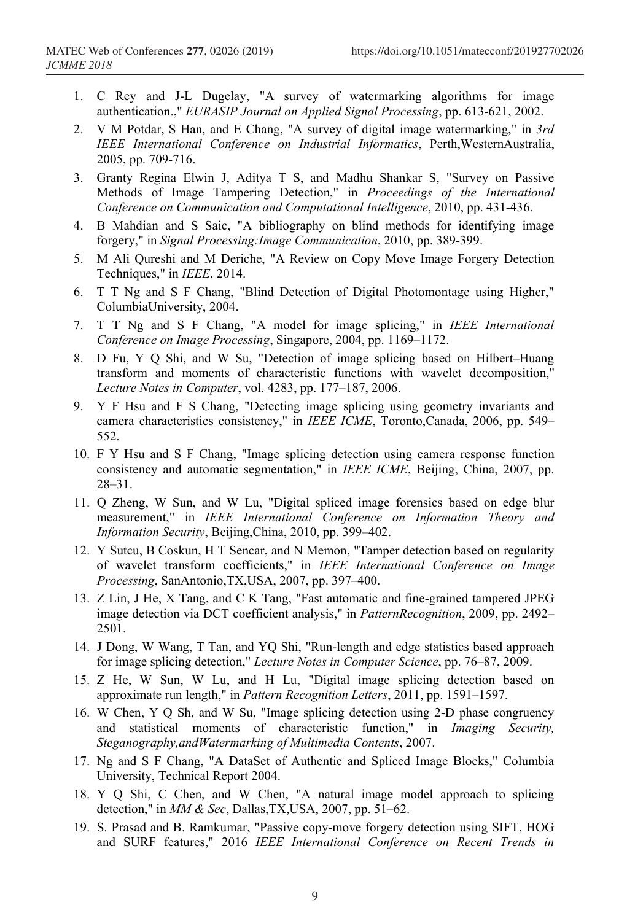- 1. C Rey and J-L Dugelay, "A survey of watermarking algorithms for image authentication.," *EURASIP Journal on Applied Signal Processing*, pp. 613-621, 2002.
- 2. V M Potdar, S Han, and E Chang, "A survey of digital image watermarking," in *3rd IEEE International Conference on Industrial Informatics*, Perth,WesternAustralia, 2005, pp. 709-716.
- 3. Granty Regina Elwin J, Aditya T S, and Madhu Shankar S, "Survey on Passive Methods of Image Tampering Detection," in *Proceedings of the International Conference on Communication and Computational Intelligence*, 2010, pp. 431-436.
- 4. B Mahdian and S Saic, "A bibliography on blind methods for identifying image forgery," in *Signal Processing:Image Communication*, 2010, pp. 389-399.
- 5. M Ali Qureshi and M Deriche, "A Review on Copy Move Image Forgery Detection Techniques," in *IEEE*, 2014.
- 6. T T Ng and S F Chang, "Blind Detection of Digital Photomontage using Higher," ColumbiaUniversity, 2004.
- 7. T T Ng and S F Chang, "A model for image splicing," in *IEEE International Conference on Image Processing*, Singapore, 2004, pp. 1169–1172.
- 8. D Fu, Y Q Shi, and W Su, "Detection of image splicing based on Hilbert–Huang transform and moments of characteristic functions with wavelet decomposition," *Lecture Notes in Computer*, vol. 4283, pp. 177–187, 2006.
- 9. Y F Hsu and F S Chang, "Detecting image splicing using geometry invariants and camera characteristics consistency," in *IEEE ICME*, Toronto,Canada, 2006, pp. 549– 552.
- 10. F Y Hsu and S F Chang, "Image splicing detection using camera response function consistency and automatic segmentation," in *IEEE ICME*, Beijing, China, 2007, pp. 28–31.
- 11. Q Zheng, W Sun, and W Lu, "Digital spliced image forensics based on edge blur measurement," in *IEEE International Conference on Information Theory and Information Security*, Beijing,China, 2010, pp. 399–402.
- 12. Y Sutcu, B Coskun, H T Sencar, and N Memon, "Tamper detection based on regularity of wavelet transform coefficients," in *IEEE International Conference on Image Processing*, SanAntonio,TX,USA, 2007, pp. 397–400.
- 13. Z Lin, J He, X Tang, and C K Tang, "Fast automatic and fine-grained tampered JPEG image detection via DCT coefficient analysis," in *PatternRecognition*, 2009, pp. 2492– 2501.
- 14. J Dong, W Wang, T Tan, and YQ Shi, "Run-length and edge statistics based approach for image splicing detection," *Lecture Notes in Computer Science*, pp. 76–87, 2009.
- 15. Z He, W Sun, W Lu, and H Lu, "Digital image splicing detection based on approximate run length," in *Pattern Recognition Letters*, 2011, pp. 1591–1597.
- 16. W Chen, Y Q Sh, and W Su, "Image splicing detection using 2-D phase congruency and statistical moments of characteristic function," in *Imaging Security, Steganography,andWatermarking of Multimedia Contents*, 2007.
- 17. Ng and S F Chang, "A DataSet of Authentic and Spliced Image Blocks," Columbia University, Technical Report 2004.
- 18. Y Q Shi, C Chen, and W Chen, "A natural image model approach to splicing detection," in *MM & Sec*, Dallas,TX,USA, 2007, pp. 51–62.
- 19. S. Prasad and B. Ramkumar, "Passive copy-move forgery detection using SIFT, HOG and SURF features," 2016 *IEEE International Conference on Recent Trends in*